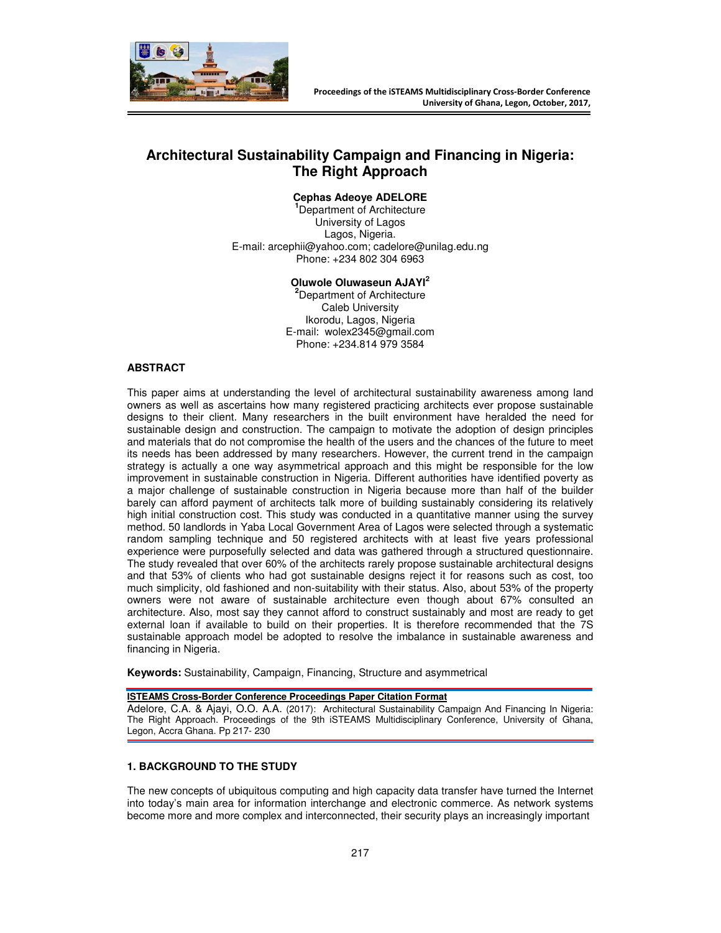

# **Architectural Sustainability Campaign and Financing in Nigeria: The Right Approach**

#### **Cephas Adeoye ADELORE**

**<sup>1</sup>**Department of Architecture University of Lagos Lagos, Nigeria. E-mail: arcephii@yahoo.com; cadelore@unilag.edu.ng Phone: +234 802 304 6963

## **Oluwole Oluwaseun AJAYI<sup>2</sup>**

**<sup>2</sup>**Department of Architecture Caleb University Ikorodu, Lagos, Nigeria E-mail: wolex2345@gmail.com Phone: +234.814 979 3584

## **ABSTRACT**

This paper aims at understanding the level of architectural sustainability awareness among land owners as well as ascertains how many registered practicing architects ever propose sustainable designs to their client. Many researchers in the built environment have heralded the need for sustainable design and construction. The campaign to motivate the adoption of design principles and materials that do not compromise the health of the users and the chances of the future to meet its needs has been addressed by many researchers. However, the current trend in the campaign strategy is actually a one way asymmetrical approach and this might be responsible for the low improvement in sustainable construction in Nigeria. Different authorities have identified poverty as a major challenge of sustainable construction in Nigeria because more than half of the builder barely can afford payment of architects talk more of building sustainably considering its relatively high initial construction cost. This study was conducted in a quantitative manner using the survey method. 50 landlords in Yaba Local Government Area of Lagos were selected through a systematic random sampling technique and 50 registered architects with at least five years professional experience were purposefully selected and data was gathered through a structured questionnaire. The study revealed that over 60% of the architects rarely propose sustainable architectural designs and that 53% of clients who had got sustainable designs reject it for reasons such as cost, too much simplicity, old fashioned and non-suitability with their status. Also, about 53% of the property owners were not aware of sustainable architecture even though about 67% consulted an architecture. Also, most say they cannot afford to construct sustainably and most are ready to get external loan if available to build on their properties. It is therefore recommended that the 7S sustainable approach model be adopted to resolve the imbalance in sustainable awareness and financing in Nigeria.

**Keywords:** Sustainability, Campaign, Financing, Structure and asymmetrical

#### **ISTEAMS Cross-Border Conference Proceedings Paper Citation Format**

Adelore, C.A. & Ajayi, O.O. A.A. (2017): Architectural Sustainability Campaign And Financing In Nigeria: The Right Approach. Proceedings of the 9th iSTEAMS Multidisciplinary Conference, University of Ghana, Legon, Accra Ghana. Pp 217- 230

#### **1. BACKGROUND TO THE STUDY**

The new concepts of ubiquitous computing and high capacity data transfer have turned the Internet into today's main area for information interchange and electronic commerce. As network systems become more and more complex and interconnected, their security plays an increasingly important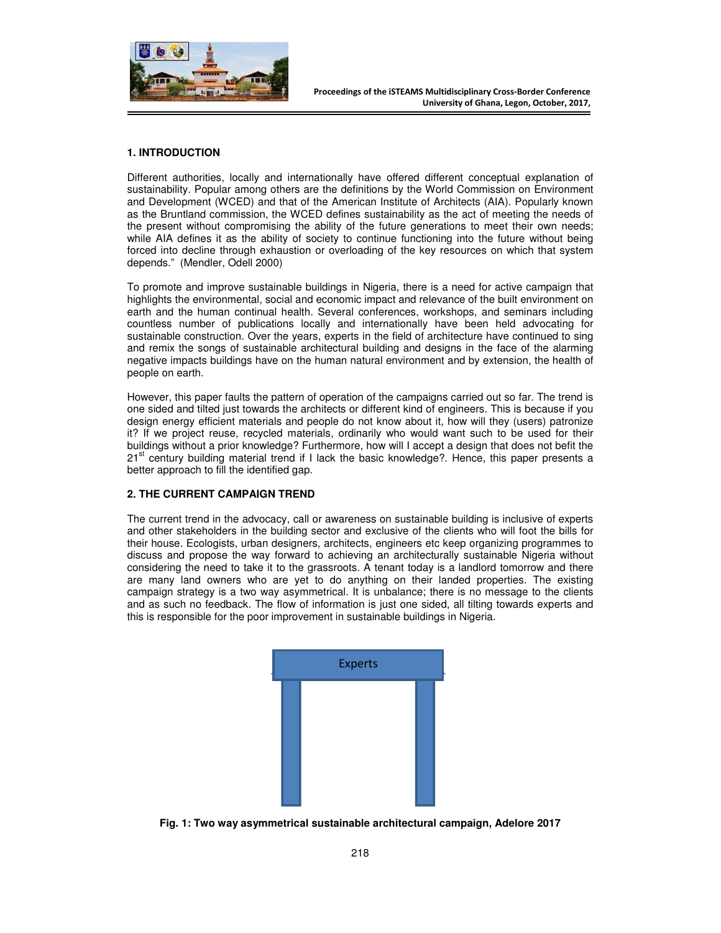

# **1. INTRODUCTION**

Different authorities, locally and internationally have offered different conceptual explanation of sustainability. Popular among others are the definitions by the World Commission on Environment and Development (WCED) and that of the American Institute of Architects (AIA). Popularly known as the Bruntland commission, the WCED defines sustainability as the act of meeting the needs of the present without compromising the ability of the future generations to meet their own needs; while AIA defines it as the ability of society to continue functioning into the future without being forced into decline through exhaustion or overloading of the key resources on which that system depends." (Mendler, Odell 2000)

To promote and improve sustainable buildings in Nigeria, there is a need for active campaign that highlights the environmental, social and economic impact and relevance of the built environment on earth and the human continual health. Several conferences, workshops, and seminars including countless number of publications locally and internationally have been held advocating for sustainable construction. Over the years, experts in the field of architecture have continued to sing and remix the songs of sustainable architectural building and designs in the face of the alarming negative impacts buildings have on the human natural environment and by extension, the health of people on earth.

However, this paper faults the pattern of operation of the campaigns carried out so far. The trend is one sided and tilted just towards the architects or different kind of engineers. This is because if you design energy efficient materials and people do not know about it, how will they (users) patronize it? If we project reuse, recycled materials, ordinarily who would want such to be used for their buildings without a prior knowledge? Furthermore, how will I accept a design that does not befit the 21<sup>st</sup> century building material trend if I lack the basic knowledge?. Hence, this paper presents a better approach to fill the identified gap.

## **2. THE CURRENT CAMPAIGN TREND**

The current trend in the advocacy, call or awareness on sustainable building is inclusive of experts and other stakeholders in the building sector and exclusive of the clients who will foot the bills for their house. Ecologists, urban designers, architects, engineers etc keep organizing programmes to discuss and propose the way forward to achieving an architecturally sustainable Nigeria without considering the need to take it to the grassroots. A tenant today is a landlord tomorrow and there are many land owners who are yet to do anything on their landed properties. The existing campaign strategy is a two way asymmetrical. It is unbalance; there is no message to the clients and as such no feedback. The flow of information is just one sided, all tilting towards experts and this is responsible for the poor improvement in sustainable buildings in Nigeria.



**Fig. 1: Two way asymmetrical sustainable architectural campaign, Adelore 2017**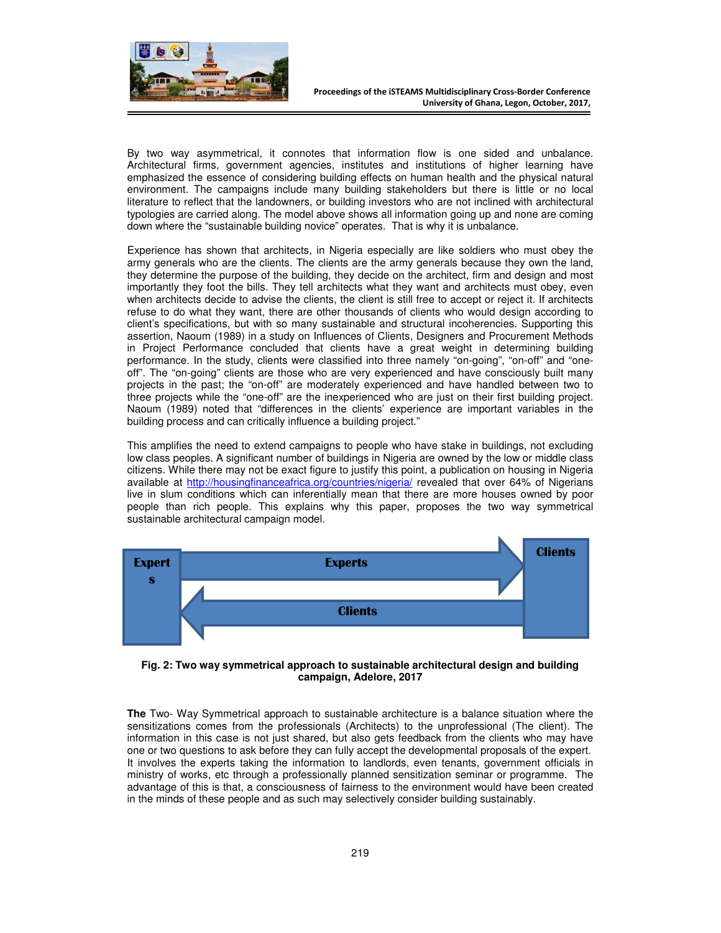

By two way asymmetrical, it connotes that information flow is one sided and unbalance. Architectural firms, government agencies, institutes and institutions of higher learning have emphasized the essence of considering building effects on human health and the physical natural environment. The campaigns include many building stakeholders but there is little or no local literature to reflect that the landowners, or building investors who are not inclined with architectural typologies are carried along. The model above shows all information going up and none are coming down where the "sustainable building novice" operates. That is why it is unbalance.

Experience has shown that architects, in Nigeria especially are like soldiers who must obey the army generals who are the clients. The clients are the army generals because they own the land, they determine the purpose of the building, they decide on the architect, firm and design and most importantly they foot the bills. They tell architects what they want and architects must obey, even when architects decide to advise the clients, the client is still free to accept or reject it. If architects refuse to do what they want, there are other thousands of clients who would design according to client's specifications, but with so many sustainable and structural incoherencies. Supporting this assertion, Naoum (1989) in a study on Influences of Clients, Designers and Procurement Methods in Project Performance concluded that clients have a great weight in determining building performance. In the study, clients were classified into three namely "on-going", "on-off" and "oneoff". The "on-going" clients are those who are very experienced and have consciously built many projects in the past; the "on-off" are moderately experienced and have handled between two to three projects while the "one-off" are the inexperienced who are just on their first building project. Naoum (1989) noted that "differences in the clients' experience are important variables in the building process and can critically influence a building project."

This amplifies the need to extend campaigns to people who have stake in buildings, not excluding low class peoples. A significant number of buildings in Nigeria are owned by the low or middle class citizens. While there may not be exact figure to justify this point, a publication on housing in Nigeria available at http://housingfinanceafrica.org/countries/nigeria/ revealed that over 64% of Nigerians live in slum conditions which can inferentially mean that there are more houses owned by poor people than rich people. This explains why this paper, proposes the two way symmetrical sustainable architectural campaign model.



**Fig. 2: Two way symmetrical approach to sustainable architectural design and building campaign, Adelore, 2017** 

**The** Two- Way Symmetrical approach to sustainable architecture is a balance situation where the sensitizations comes from the professionals (Architects) to the unprofessional (The client). The information in this case is not just shared, but also gets feedback from the clients who may have one or two questions to ask before they can fully accept the developmental proposals of the expert. It involves the experts taking the information to landlords, even tenants, government officials in ministry of works, etc through a professionally planned sensitization seminar or programme. The advantage of this is that, a consciousness of fairness to the environment would have been created in the minds of these people and as such may selectively consider building sustainably.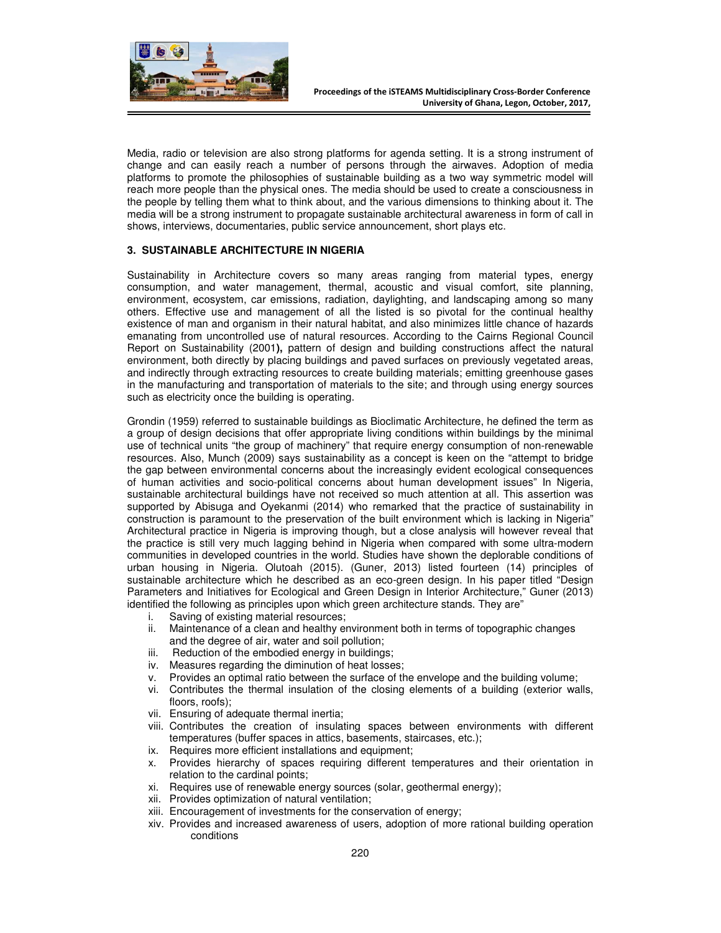

Media, radio or television are also strong platforms for agenda setting. It is a strong instrument of change and can easily reach a number of persons through the airwaves. Adoption of media platforms to promote the philosophies of sustainable building as a two way symmetric model will reach more people than the physical ones. The media should be used to create a consciousness in the people by telling them what to think about, and the various dimensions to thinking about it. The media will be a strong instrument to propagate sustainable architectural awareness in form of call in shows, interviews, documentaries, public service announcement, short plays etc.

## **3. SUSTAINABLE ARCHITECTURE IN NIGERIA**

Sustainability in Architecture covers so many areas ranging from material types, energy consumption, and water management, thermal, acoustic and visual comfort, site planning, environment, ecosystem, car emissions, radiation, daylighting, and landscaping among so many others. Effective use and management of all the listed is so pivotal for the continual healthy existence of man and organism in their natural habitat, and also minimizes little chance of hazards emanating from uncontrolled use of natural resources. According to the Cairns Regional Council Report on Sustainability (2001**),** pattern of design and building constructions affect the natural environment, both directly by placing buildings and paved surfaces on previously vegetated areas, and indirectly through extracting resources to create building materials; emitting greenhouse gases in the manufacturing and transportation of materials to the site; and through using energy sources such as electricity once the building is operating.

Grondin (1959) referred to sustainable buildings as Bioclimatic Architecture, he defined the term as a group of design decisions that offer appropriate living conditions within buildings by the minimal use of technical units "the group of machinery" that require energy consumption of non-renewable resources. Also, Munch (2009) says sustainability as a concept is keen on the "attempt to bridge the gap between environmental concerns about the increasingly evident ecological consequences of human activities and socio-political concerns about human development issues" In Nigeria, sustainable architectural buildings have not received so much attention at all. This assertion was supported by Abisuga and Oyekanmi (2014) who remarked that the practice of sustainability in construction is paramount to the preservation of the built environment which is lacking in Nigeria" Architectural practice in Nigeria is improving though, but a close analysis will however reveal that the practice is still very much lagging behind in Nigeria when compared with some ultra-modern communities in developed countries in the world. Studies have shown the deplorable conditions of urban housing in Nigeria. Olutoah (2015). (Guner, 2013) listed fourteen (14) principles of sustainable architecture which he described as an eco-green design. In his paper titled "Design Parameters and Initiatives for Ecological and Green Design in Interior Architecture," Guner (2013) identified the following as principles upon which green architecture stands. They are"

- i. Saving of existing material resources;
- ii. Maintenance of a clean and healthy environment both in terms of topographic changes and the degree of air, water and soil pollution;
- iii. Reduction of the embodied energy in buildings;
- iv. Measures regarding the diminution of heat losses;
- v. Provides an optimal ratio between the surface of the envelope and the building volume;
- vi. Contributes the thermal insulation of the closing elements of a building (exterior walls, floors, roofs);
- vii. Ensuring of adequate thermal inertia;
- viii. Contributes the creation of insulating spaces between environments with different temperatures (buffer spaces in attics, basements, staircases, etc.);
- ix. Requires more efficient installations and equipment;
- x. Provides hierarchy of spaces requiring different temperatures and their orientation in relation to the cardinal points;
- xi. Requires use of renewable energy sources (solar, geothermal energy);
- xii. Provides optimization of natural ventilation;
- xiii. Encouragement of investments for the conservation of energy;
- xiv. Provides and increased awareness of users, adoption of more rational building operation conditions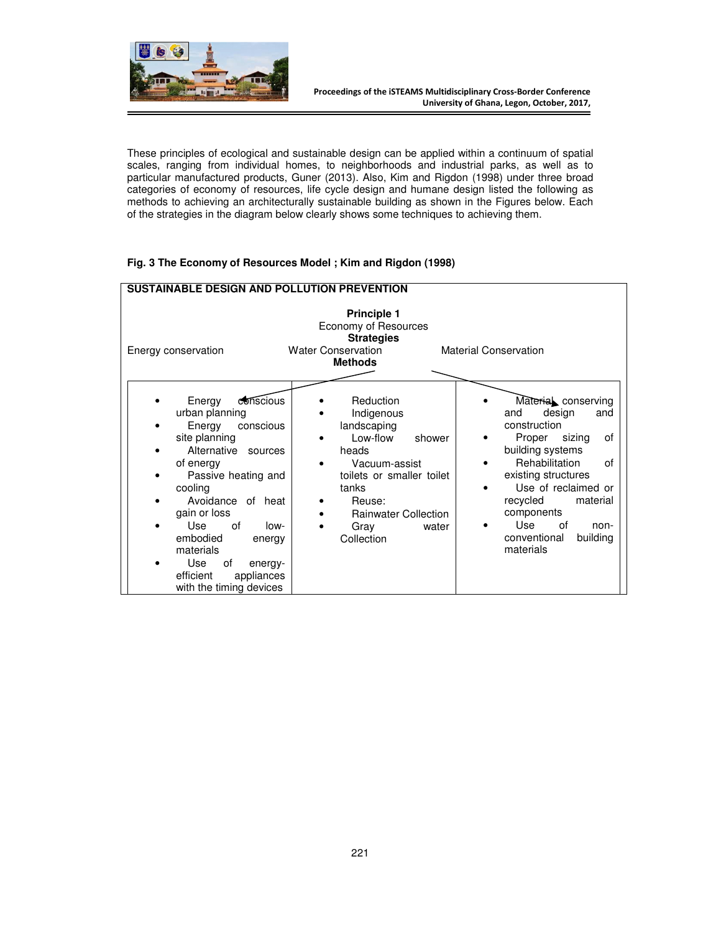

These principles of ecological and sustainable design can be applied within a continuum of spatial scales, ranging from individual homes, to neighborhoods and industrial parks, as well as to particular manufactured products, Guner (2013). Also, Kim and Rigdon (1998) under three broad categories of economy of resources, life cycle design and humane design listed the following as methods to achieving an architecturally sustainable building as shown in the Figures below. Each of the strategies in the diagram below clearly shows some techniques to achieving them.

# **Fig. 3 The Economy of Resources Model ; Kim and Rigdon (1998)**

| <b>SUSTAINABLE DESIGN AND POLLUTION PREVENTION</b>                                                                                                                                                                                                                                                                                |                                                                                                                                                                                                      |                                                                                                                                                                                                                                                                                  |  |
|-----------------------------------------------------------------------------------------------------------------------------------------------------------------------------------------------------------------------------------------------------------------------------------------------------------------------------------|------------------------------------------------------------------------------------------------------------------------------------------------------------------------------------------------------|----------------------------------------------------------------------------------------------------------------------------------------------------------------------------------------------------------------------------------------------------------------------------------|--|
| Energy conservation                                                                                                                                                                                                                                                                                                               | <b>Principle 1</b><br>Economy of Resources<br><b>Strategies</b><br><b>Water Conservation</b><br><b>Methods</b>                                                                                       | <b>Material Conservation</b>                                                                                                                                                                                                                                                     |  |
| Energy<br>conscious<br>urban planning<br>Energy<br>conscious<br>site planning<br>Alternative<br>sources<br>of energy<br>Passive heating and<br>cooling<br>Avoidance of heat<br>gain or loss<br>Use<br>0f<br>low-<br>embodied<br>energy<br>materials<br>Use<br>of<br>energy-<br>efficient<br>appliances<br>with the timing devices | Reduction<br>Indigenous<br>landscaping<br>Low-flow<br>shower<br>heads<br>Vacuum-assist<br>toilets or smaller toilet<br>tanks<br>Reuse:<br><b>Rainwater Collection</b><br>Gray<br>water<br>Collection | Material conserving<br>and<br>design<br>and<br>construction<br>Proper sizing<br>of<br>building systems<br>Rehabilitation<br>of<br>existing structures<br>Use of reclaimed or<br>recycled<br>material<br>components<br>Use<br>οf<br>non-<br>conventional<br>building<br>materials |  |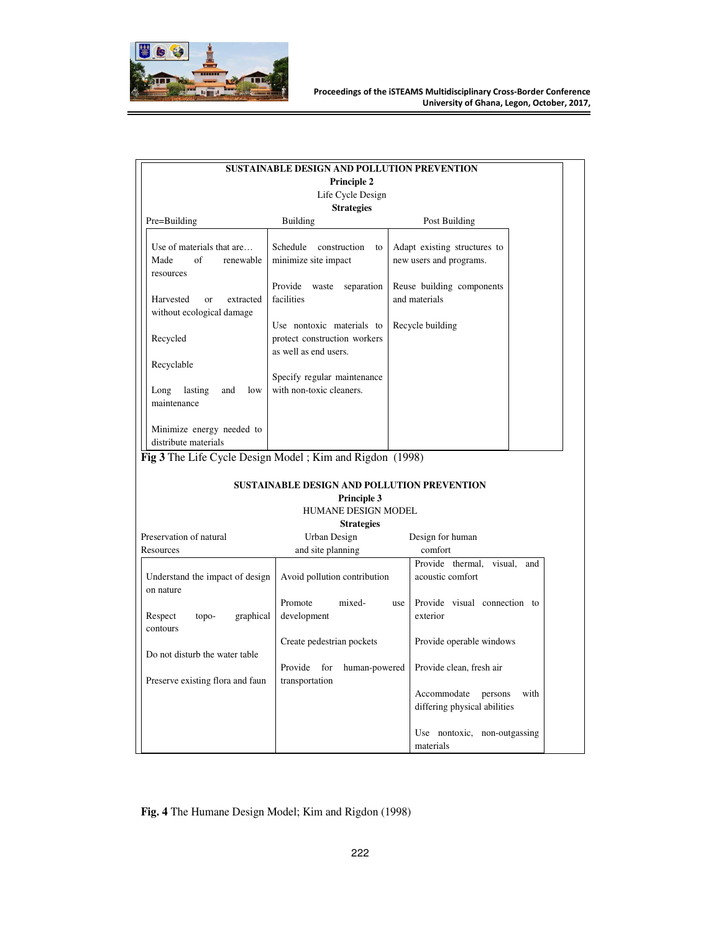

|                                                                      | SUSTAINABLE DESIGN AND POLLUTION PREVENTION                                        |                                                         |
|----------------------------------------------------------------------|------------------------------------------------------------------------------------|---------------------------------------------------------|
|                                                                      | <b>Principle 2</b>                                                                 |                                                         |
|                                                                      | Life Cycle Design                                                                  |                                                         |
|                                                                      | <b>Strategies</b>                                                                  |                                                         |
| Pre=Building                                                         | <b>Building</b>                                                                    | Post Building                                           |
| Use of materials that are<br>of<br>Made<br>renewable<br>resources    | Schedule<br>construction<br>to<br>minimize site impact                             | Adapt existing structures to<br>new users and programs. |
| Harvested<br>extracted<br><sub>or</sub><br>without ecological damage | Provide<br>separation<br>waste<br>facilities                                       | Reuse building components<br>and materials              |
| Recycled                                                             | Use nontoxic materials to<br>protect construction workers<br>as well as end users. | Recycle building                                        |
| Recyclable                                                           |                                                                                    |                                                         |
| Long<br>lasting<br>low<br>and<br>maintenance                         | Specify regular maintenance<br>with non-toxic cleaners.                            |                                                         |
| Minimize energy needed to<br>distribute materials                    |                                                                                    |                                                         |

# **SUSTAINABLE DESIGN AND POLLUTION PREVENTION**

# **Principle 3**

# HUMANE DESIGN MODEL

# **Strategies**

| Preservation of natural                      | Urban Design                                      | Design for human                                               |
|----------------------------------------------|---------------------------------------------------|----------------------------------------------------------------|
| Resources                                    | and site planning                                 | comfort                                                        |
| Understand the impact of design<br>on nature | Avoid pollution contribution                      | Provide thermal, visual,<br>and<br>acoustic comfort            |
| graphical<br>Respect<br>topo-<br>contours    | mixed-<br>Promote<br>use<br>development           | Provide visual connection to<br>exterior                       |
| Do not disturb the water table               | Create pedestrian pockets                         | Provide operable windows                                       |
| Preserve existing flora and faun             | Provide<br>for<br>human-powered<br>transportation | Provide clean, fresh air                                       |
|                                              |                                                   | Accommodate<br>with<br>persons<br>differing physical abilities |
|                                              |                                                   | Use nontoxic, non-outgassing<br>materials                      |

# **Fig. 4** The Humane Design Model; Kim and Rigdon (1998)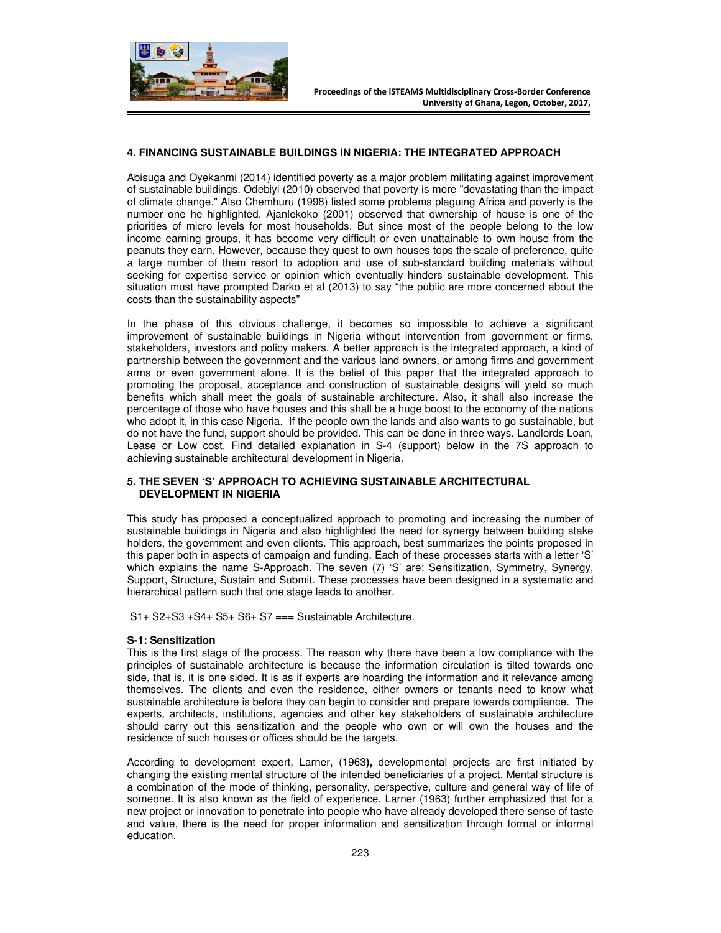

#### **4. FINANCING SUSTAINABLE BUILDINGS IN NIGERIA: THE INTEGRATED APPROACH**

Abisuga and Oyekanmi (2014) identified poverty as a major problem militating against improvement of sustainable buildings. Odebiyi (2010) observed that poverty is more "devastating than the impact of climate change." Also Chemhuru (1998) listed some problems plaguing Africa and poverty is the number one he highlighted. Ajanlekoko (2001) observed that ownership of house is one of the priorities of micro levels for most households. But since most of the people belong to the low income earning groups, it has become very difficult or even unattainable to own house from the peanuts they earn. However, because they quest to own houses tops the scale of preference, quite a large number of them resort to adoption and use of sub-standard building materials without seeking for expertise service or opinion which eventually hinders sustainable development. This situation must have prompted Darko et al (2013) to say "the public are more concerned about the costs than the sustainability aspects"

In the phase of this obvious challenge, it becomes so impossible to achieve a significant improvement of sustainable buildings in Nigeria without intervention from government or firms, stakeholders, investors and policy makers. A better approach is the integrated approach, a kind of partnership between the government and the various land owners, or among firms and government arms or even government alone. It is the belief of this paper that the integrated approach to promoting the proposal, acceptance and construction of sustainable designs will yield so much benefits which shall meet the goals of sustainable architecture. Also, it shall also increase the percentage of those who have houses and this shall be a huge boost to the economy of the nations who adopt it, in this case Nigeria. If the people own the lands and also wants to go sustainable, but do not have the fund, support should be provided. This can be done in three ways. Landlords Loan, Lease or Low cost. Find detailed explanation in S-4 (support) below in the 7S approach to achieving sustainable architectural development in Nigeria.

#### **5. THE SEVEN 'S' APPROACH TO ACHIEVING SUSTAINABLE ARCHITECTURAL DEVELOPMENT IN NIGERIA**

This study has proposed a conceptualized approach to promoting and increasing the number of sustainable buildings in Nigeria and also highlighted the need for synergy between building stake holders, the government and even clients. This approach, best summarizes the points proposed in this paper both in aspects of campaign and funding. Each of these processes starts with a letter 'S' which explains the name S-Approach. The seven (7) 'S' are: Sensitization, Symmetry, Synergy, Support, Structure, Sustain and Submit. These processes have been designed in a systematic and hierarchical pattern such that one stage leads to another.

S1+ S2+S3 +S4+ S5+ S6+ S7 === Sustainable Architecture.

#### **S-1: Sensitization**

This is the first stage of the process. The reason why there have been a low compliance with the principles of sustainable architecture is because the information circulation is tilted towards one side, that is, it is one sided. It is as if experts are hoarding the information and it relevance among themselves. The clients and even the residence, either owners or tenants need to know what sustainable architecture is before they can begin to consider and prepare towards compliance. The experts, architects, institutions, agencies and other key stakeholders of sustainable architecture should carry out this sensitization and the people who own or will own the houses and the residence of such houses or offices should be the targets.

According to development expert, Larner, (1963**),** developmental projects are first initiated by changing the existing mental structure of the intended beneficiaries of a project. Mental structure is a combination of the mode of thinking, personality, perspective, culture and general way of life of someone. It is also known as the field of experience. Larner (1963) further emphasized that for a new project or innovation to penetrate into people who have already developed there sense of taste and value, there is the need for proper information and sensitization through formal or informal education.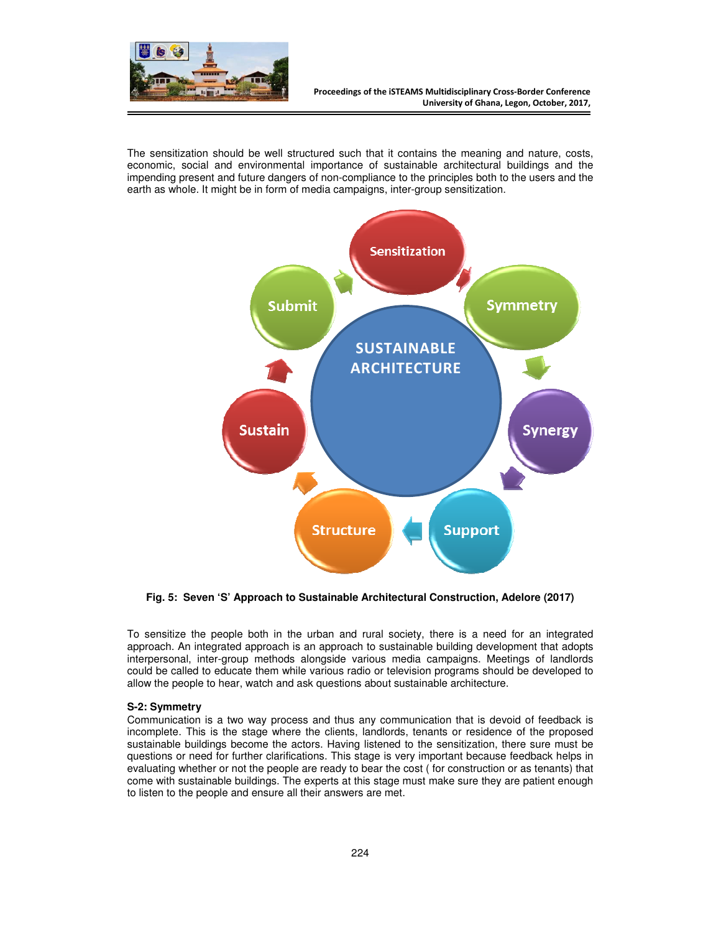

The sensitization should be well structured such that it contains the meaning and nature, costs, economic, social and environmental importance of sustainable architectural buildings and the impending present and future dangers of non-compliance to the principles both to the users and the earth as whole. It might be in form of media campaigns, inter-group sensitization.



**Fig. 5: Seven 'S' Approach to Sustainable Architectural Construction, Adelore (2017)** 

To sensitize the people both in the urban and rural society, there is a need for an integrated approach. An integrated approach is an approach to sustainable building development that adopts interpersonal, inter-group methods alongside various media campaigns. Meetings of landlords could be called to educate them while various radio or television programs should be developed to allow the people to hear, watch and ask questions about sustainable architecture.

## **S-2: Symmetry**

Communication is a two way process and thus any communication that is devoid of feedback is incomplete. This is the stage where the clients, landlords, tenants or residence of the proposed sustainable buildings become the actors. Having listened to the sensitization, there sure must be questions or need for further clarifications. This stage is very important because feedback helps in evaluating whether or not the people are ready to bear the cost ( for construction or as tenants) that come with sustainable buildings. The experts at this stage must make sure they are patient enough to listen to the people and ensure all their answers are met.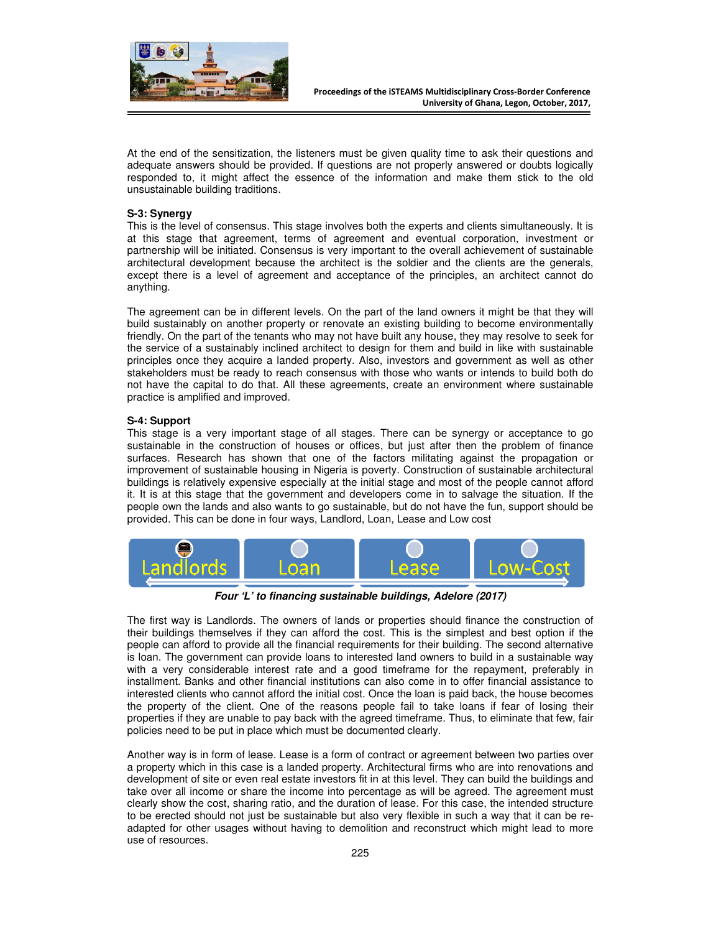

At the end of the sensitization, the listeners must be given quality time to ask their questions and adequate answers should be provided. If questions are not properly answered or doubts logically responded to, it might affect the essence of the information and make them stick to the old unsustainable building traditions.

#### **S-3: Synergy**

This is the level of consensus. This stage involves both the experts and clients simultaneously. It is at this stage that agreement, terms of agreement and eventual corporation, investment or partnership will be initiated. Consensus is very important to the overall achievement of sustainable architectural development because the architect is the soldier and the clients are the generals, except there is a level of agreement and acceptance of the principles, an architect cannot do anything.

The agreement can be in different levels. On the part of the land owners it might be that they will build sustainably on another property or renovate an existing building to become environmentally friendly. On the part of the tenants who may not have built any house, they may resolve to seek for the service of a sustainably inclined architect to design for them and build in like with sustainable principles once they acquire a landed property. Also, investors and government as well as other stakeholders must be ready to reach consensus with those who wants or intends to build both do not have the capital to do that. All these agreements, create an environment where sustainable practice is amplified and improved.

#### **S-4: Support**

This stage is a very important stage of all stages. There can be synergy or acceptance to go sustainable in the construction of houses or offices, but just after then the problem of finance surfaces. Research has shown that one of the factors militating against the propagation or improvement of sustainable housing in Nigeria is poverty. Construction of sustainable architectural buildings is relatively expensive especially at the initial stage and most of the people cannot afford it. It is at this stage that the government and developers come in to salvage the situation. If the people own the lands and also wants to go sustainable, but do not have the fun, support should be provided. This can be done in four ways, Landlord, Loan, Lease and Low cost



**Four 'L' to financing sustainable buildings, Adelore (2017)** 

The first way is Landlords. The owners of lands or properties should finance the construction of their buildings themselves if they can afford the cost. This is the simplest and best option if the people can afford to provide all the financial requirements for their building. The second alternative is loan. The government can provide loans to interested land owners to build in a sustainable way with a very considerable interest rate and a good timeframe for the repayment, preferably in installment. Banks and other financial institutions can also come in to offer financial assistance to interested clients who cannot afford the initial cost. Once the loan is paid back, the house becomes the property of the client. One of the reasons people fail to take loans if fear of losing their properties if they are unable to pay back with the agreed timeframe. Thus, to eliminate that few, fair policies need to be put in place which must be documented clearly.

Another way is in form of lease. Lease is a form of contract or agreement between two parties over a property which in this case is a landed property. Architectural firms who are into renovations and development of site or even real estate investors fit in at this level. They can build the buildings and take over all income or share the income into percentage as will be agreed. The agreement must clearly show the cost, sharing ratio, and the duration of lease. For this case, the intended structure to be erected should not just be sustainable but also very flexible in such a way that it can be readapted for other usages without having to demolition and reconstruct which might lead to more use of resources.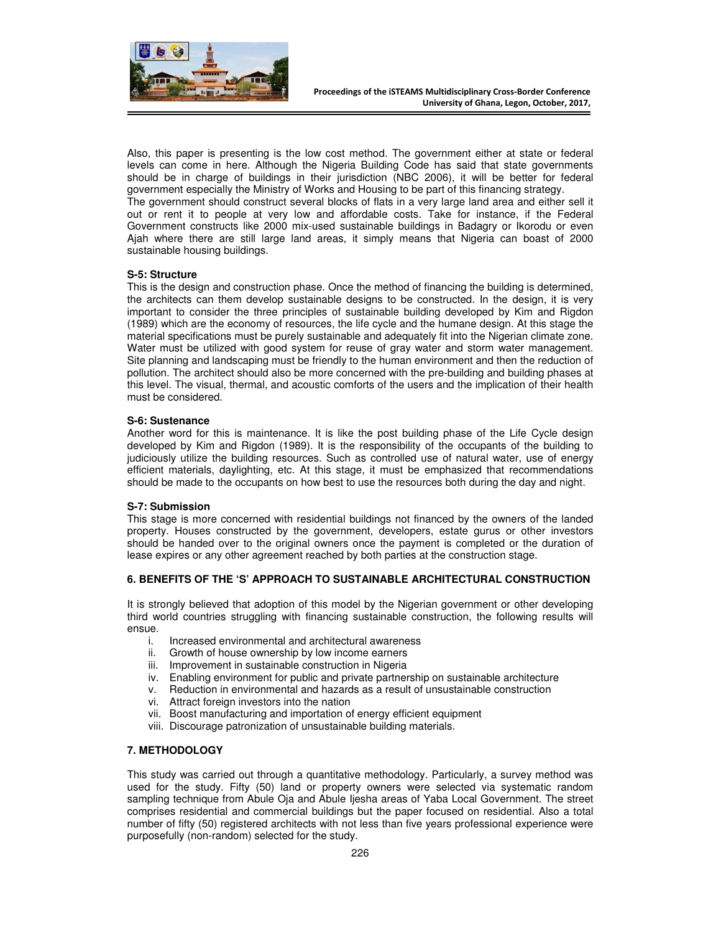

Also, this paper is presenting is the low cost method. The government either at state or federal levels can come in here. Although the Nigeria Building Code has said that state governments should be in charge of buildings in their jurisdiction (NBC 2006), it will be better for federal government especially the Ministry of Works and Housing to be part of this financing strategy.

The government should construct several blocks of flats in a very large land area and either sell it out or rent it to people at very low and affordable costs. Take for instance, if the Federal Government constructs like 2000 mix-used sustainable buildings in Badagry or Ikorodu or even Ajah where there are still large land areas, it simply means that Nigeria can boast of 2000 sustainable housing buildings.

## **S-5: Structure**

This is the design and construction phase. Once the method of financing the building is determined, the architects can them develop sustainable designs to be constructed. In the design, it is very important to consider the three principles of sustainable building developed by Kim and Rigdon (1989) which are the economy of resources, the life cycle and the humane design. At this stage the material specifications must be purely sustainable and adequately fit into the Nigerian climate zone. Water must be utilized with good system for reuse of gray water and storm water management. Site planning and landscaping must be friendly to the human environment and then the reduction of pollution. The architect should also be more concerned with the pre-building and building phases at this level. The visual, thermal, and acoustic comforts of the users and the implication of their health must be considered.

#### **S-6: Sustenance**

Another word for this is maintenance. It is like the post building phase of the Life Cycle design developed by Kim and Rigdon (1989). It is the responsibility of the occupants of the building to judiciously utilize the building resources. Such as controlled use of natural water, use of energy efficient materials, daylighting, etc. At this stage, it must be emphasized that recommendations should be made to the occupants on how best to use the resources both during the day and night.

#### **S-7: Submission**

This stage is more concerned with residential buildings not financed by the owners of the landed property. Houses constructed by the government, developers, estate gurus or other investors should be handed over to the original owners once the payment is completed or the duration of lease expires or any other agreement reached by both parties at the construction stage.

## **6. BENEFITS OF THE 'S' APPROACH TO SUSTAINABLE ARCHITECTURAL CONSTRUCTION**

It is strongly believed that adoption of this model by the Nigerian government or other developing third world countries struggling with financing sustainable construction, the following results will ensue.

- i. Increased environmental and architectural awareness
- ii. Growth of house ownership by low income earners
- iii. Improvement in sustainable construction in Nigeria
- iv. Enabling environment for public and private partnership on sustainable architecture
- v. Reduction in environmental and hazards as a result of unsustainable construction
- Attract foreign investors into the nation
- vii. Boost manufacturing and importation of energy efficient equipment
- viii. Discourage patronization of unsustainable building materials.

#### **7. METHODOLOGY**

This study was carried out through a quantitative methodology. Particularly, a survey method was used for the study. Fifty (50) land or property owners were selected via systematic random sampling technique from Abule Oja and Abule Ijesha areas of Yaba Local Government. The street comprises residential and commercial buildings but the paper focused on residential. Also a total number of fifty (50) registered architects with not less than five years professional experience were purposefully (non-random) selected for the study.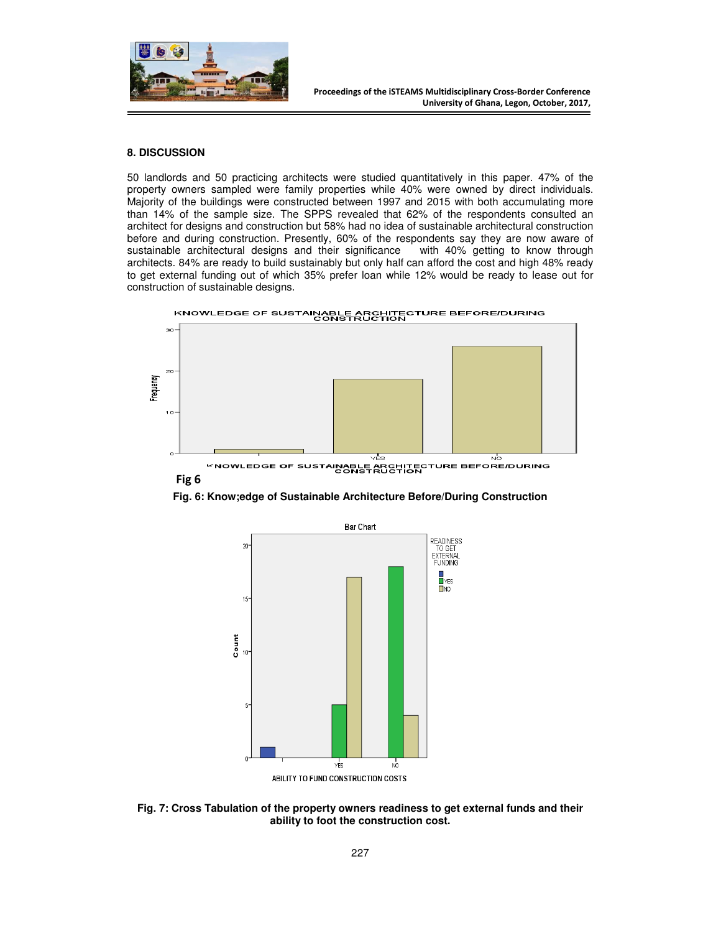

#### **8. DISCUSSION**

50 landlords and 50 practicing architects were studied quantitatively in this paper. 47% of the property owners sampled were family properties while 40% were owned by direct individuals. Majority of the buildings were constructed between 1997 and 2015 with both accumulating more than 14% of the sample size. The SPPS revealed that 62% of the respondents consulted an architect for designs and construction but 58% had no idea of sustainable architectural construction before and during construction. Presently, 60% of the respondents say they are now aware of sustainable architectural designs and their significance with 40% getting to know through architects. 84% are ready to build sustainably but only half can afford the cost and high 48% ready to get external funding out of which 35% prefer loan while 12% would be ready to lease out for construction of sustainable designs.





KNOWLEDGE OF SUSTAINABLE ARCHITECTURE BEFORE/DURING<br>CONSTRUCTION **Fig 6**

**Fig. 6: Know;edge of Sustainable Architecture Before/During Construction** 



**Fig. 7: Cross Tabulation of the property owners readiness to get external funds and their ability to foot the construction cost.**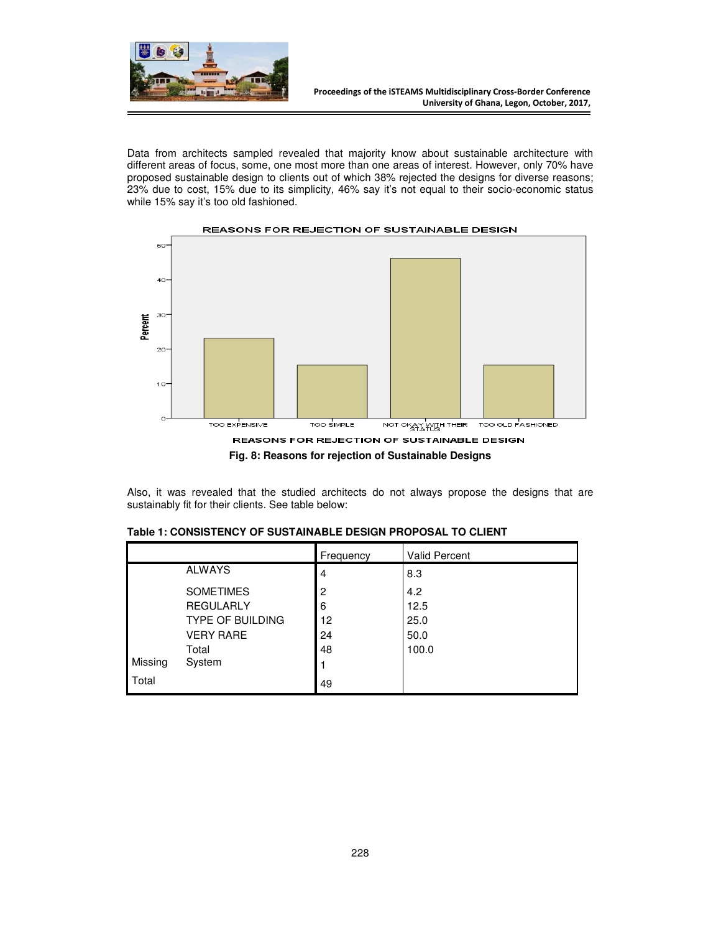

Data from architects sampled revealed that majority know about sustainable architecture with different areas of focus, some, one most more than one areas of interest. However, only 70% have proposed sustainable design to clients out of which 38% rejected the designs for diverse reasons; 23% due to cost, 15% due to its simplicity, 46% say it's not equal to their socio-economic status while 15% say it's too old fashioned.



Also, it was revealed that the studied architects do not always propose the designs that are sustainably fit for their clients. See table below:

|         |                         | Frequency | <b>Valid Percent</b> |
|---------|-------------------------|-----------|----------------------|
|         | <b>ALWAYS</b>           | 4         | 8.3                  |
|         | <b>SOMETIMES</b>        | 2         | 4.2                  |
|         | <b>REGULARLY</b>        | 6         | 12.5                 |
|         | <b>TYPE OF BUILDING</b> | 12        | 25.0                 |
|         | <b>VERY RARE</b>        | 24        | 50.0                 |
|         | Total                   | 48        | 100.0                |
| Missing | System                  |           |                      |
| Total   |                         | 49        |                      |

|  | Table 1: CONSISTENCY OF SUSTAINABLE DESIGN PROPOSAL TO CLIENT |  |  |
|--|---------------------------------------------------------------|--|--|
|  |                                                               |  |  |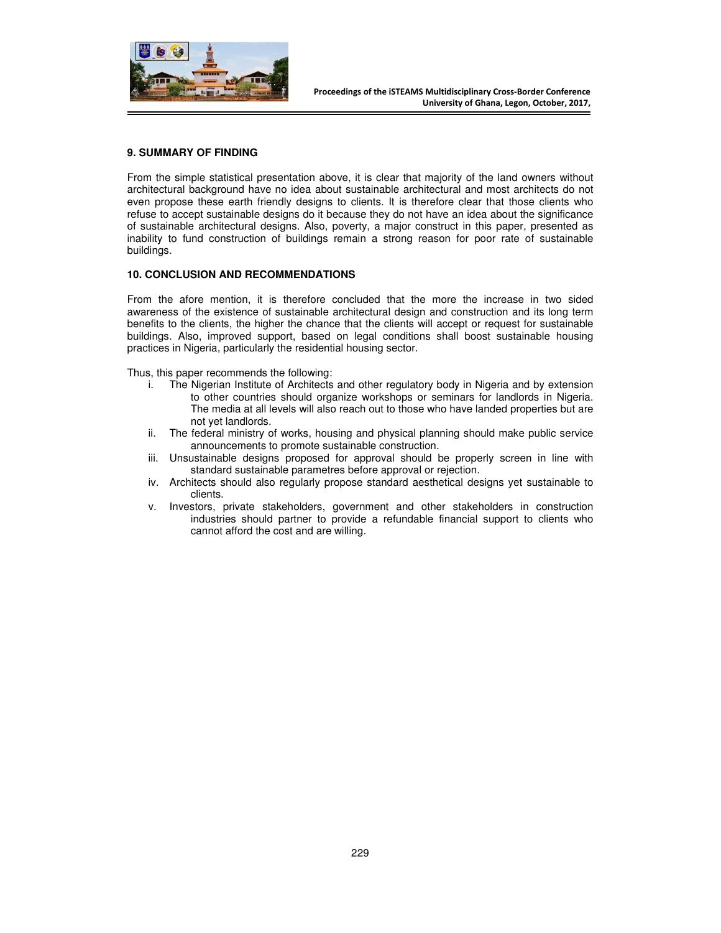

## **9. SUMMARY OF FINDING**

From the simple statistical presentation above, it is clear that majority of the land owners without architectural background have no idea about sustainable architectural and most architects do not even propose these earth friendly designs to clients. It is therefore clear that those clients who refuse to accept sustainable designs do it because they do not have an idea about the significance of sustainable architectural designs. Also, poverty, a major construct in this paper, presented as inability to fund construction of buildings remain a strong reason for poor rate of sustainable buildings.

#### **10. CONCLUSION AND RECOMMENDATIONS**

From the afore mention, it is therefore concluded that the more the increase in two sided awareness of the existence of sustainable architectural design and construction and its long term benefits to the clients, the higher the chance that the clients will accept or request for sustainable buildings. Also, improved support, based on legal conditions shall boost sustainable housing practices in Nigeria, particularly the residential housing sector.

Thus, this paper recommends the following:

- i. The Nigerian Institute of Architects and other regulatory body in Nigeria and by extension to other countries should organize workshops or seminars for landlords in Nigeria. The media at all levels will also reach out to those who have landed properties but are not yet landlords.
- ii. The federal ministry of works, housing and physical planning should make public service announcements to promote sustainable construction.
- iii. Unsustainable designs proposed for approval should be properly screen in line with standard sustainable parametres before approval or rejection.
- iv. Architects should also regularly propose standard aesthetical designs yet sustainable to clients.
- v. Investors, private stakeholders, government and other stakeholders in construction industries should partner to provide a refundable financial support to clients who cannot afford the cost and are willing.